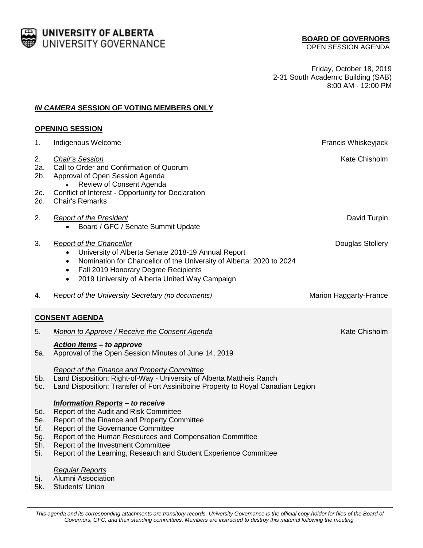

Friday, October 18, 2019 2-31 South Academic Building (SAB) 8:00 AM - 12:00 PM

## *IN CAMERA* **SESSION OF VOTING MEMBERS ONLY**

| <b>OPENING SESSION</b>                 |                                                                                                                                                                                                                                                                                                                                                |                        |  |
|----------------------------------------|------------------------------------------------------------------------------------------------------------------------------------------------------------------------------------------------------------------------------------------------------------------------------------------------------------------------------------------------|------------------------|--|
| 1.                                     | Indigenous Welcome                                                                                                                                                                                                                                                                                                                             | Francis Whiskeyjack    |  |
| 2.<br>2a.<br>2b.                       | <b>Chair's Session</b><br>Call to Order and Confirmation of Quorum<br>Approval of Open Session Agenda<br>Review of Consent Agenda                                                                                                                                                                                                              | Kate Chisholm          |  |
| 2c.<br>2d.                             | Conflict of Interest - Opportunity for Declaration<br><b>Chair's Remarks</b>                                                                                                                                                                                                                                                                   |                        |  |
| 2.                                     | <b>Report of the President</b><br>Board / GFC / Senate Summit Update<br>$\bullet$                                                                                                                                                                                                                                                              | David Turpin           |  |
| 3.                                     | <b>Report of the Chancellor</b><br>University of Alberta Senate 2018-19 Annual Report<br>Nomination for Chancellor of the University of Alberta: 2020 to 2024<br>$\bullet$<br>Fall 2019 Honorary Degree Recipients<br>$\bullet$<br>2019 University of Alberta United Way Campaign<br>$\bullet$                                                 | Douglas Stollery       |  |
| 4.                                     | <b>Report of the University Secretary (no documents)</b>                                                                                                                                                                                                                                                                                       | Marion Haggarty-France |  |
| <b>CONSENT AGENDA</b>                  |                                                                                                                                                                                                                                                                                                                                                |                        |  |
| 5.                                     | Motion to Approve / Receive the Consent Agenda                                                                                                                                                                                                                                                                                                 | Kate Chisholm          |  |
| 5а.                                    | <b>Action Items - to approve</b><br>Approval of the Open Session Minutes of June 14, 2019                                                                                                                                                                                                                                                      |                        |  |
| 5b.<br>5c.                             | <b>Report of the Finance and Property Committee</b><br>Land Disposition: Right-of-Way - University of Alberta Mattheis Ranch<br>Land Disposition: Transfer of Fort Assiniboine Property to Royal Canadian Legion                                                                                                                               |                        |  |
| 5d.<br>5e.<br>5f.<br>5g.<br>5h.<br>5i. | <b>Information Reports - to receive</b><br>Report of the Audit and Risk Committee<br>Report of the Finance and Property Committee<br>Report of the Governance Committee<br>Report of the Human Resources and Compensation Committee<br>Report of the Investment Committee<br>Report of the Learning, Research and Student Experience Committee |                        |  |
| 5j.                                    | <b>Regular Reports</b><br><b>Alumni Association</b>                                                                                                                                                                                                                                                                                            |                        |  |

5k. Students' Union